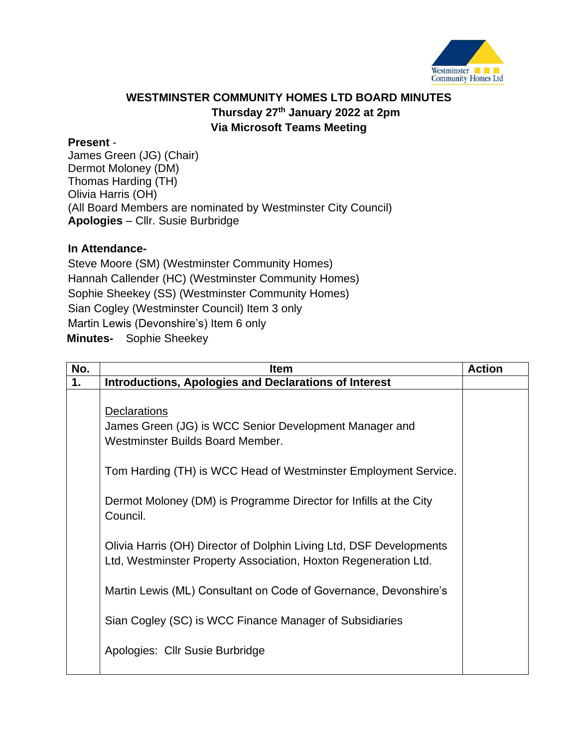

## **WESTMINSTER COMMUNITY HOMES LTD BOARD MINUTES Thursday 27th January 2022 at 2pm Via Microsoft Teams Meeting**

## **Present** -

James Green (JG) (Chair) Dermot Moloney (DM) Thomas Harding (TH) Olivia Harris (OH) (All Board Members are nominated by Westminster City Council) **Apologies** – Cllr. Susie Burbridge

## **In Attendance-**

Steve Moore (SM) (Westminster Community Homes) Hannah Callender (HC) (Westminster Community Homes) Sophie Sheekey (SS) (Westminster Community Homes) Sian Cogley (Westminster Council) Item 3 only Martin Lewis (Devonshire's) Item 6 only **Minutes-** Sophie Sheekey

| No. | <b>Item</b>                                                                                                                            | <b>Action</b> |
|-----|----------------------------------------------------------------------------------------------------------------------------------------|---------------|
| 1.  | <b>Introductions, Apologies and Declarations of Interest</b>                                                                           |               |
|     | <b>Declarations</b><br>James Green (JG) is WCC Senior Development Manager and<br>Westminster Builds Board Member.                      |               |
|     | Tom Harding (TH) is WCC Head of Westminster Employment Service.                                                                        |               |
|     | Dermot Moloney (DM) is Programme Director for Infills at the City<br>Council.                                                          |               |
|     | Olivia Harris (OH) Director of Dolphin Living Ltd, DSF Developments<br>Ltd, Westminster Property Association, Hoxton Regeneration Ltd. |               |
|     | Martin Lewis (ML) Consultant on Code of Governance, Devonshire's                                                                       |               |
|     | Sian Cogley (SC) is WCC Finance Manager of Subsidiaries                                                                                |               |
|     | Apologies: Cllr Susie Burbridge                                                                                                        |               |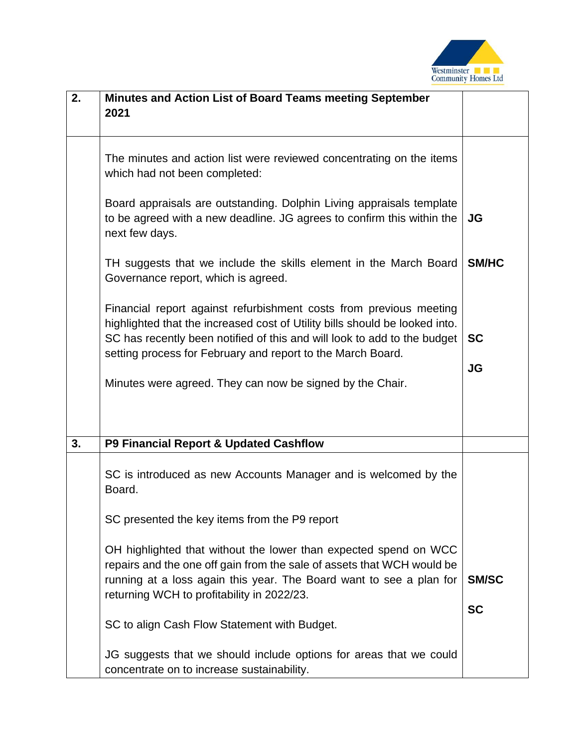

| 2. | Minutes and Action List of Board Teams meeting September<br>2021                                                                                                                                                                                                                             |              |
|----|----------------------------------------------------------------------------------------------------------------------------------------------------------------------------------------------------------------------------------------------------------------------------------------------|--------------|
|    | The minutes and action list were reviewed concentrating on the items<br>which had not been completed:                                                                                                                                                                                        |              |
|    | Board appraisals are outstanding. Dolphin Living appraisals template<br>to be agreed with a new deadline. JG agrees to confirm this within the<br>next few days.                                                                                                                             | JG           |
|    | TH suggests that we include the skills element in the March Board<br>Governance report, which is agreed.                                                                                                                                                                                     | <b>SM/HC</b> |
|    | Financial report against refurbishment costs from previous meeting<br>highlighted that the increased cost of Utility bills should be looked into.<br>SC has recently been notified of this and will look to add to the budget<br>setting process for February and report to the March Board. | <b>SC</b>    |
|    | Minutes were agreed. They can now be signed by the Chair.                                                                                                                                                                                                                                    | <b>JG</b>    |
| 3. | P9 Financial Report & Updated Cashflow                                                                                                                                                                                                                                                       |              |
|    | SC is introduced as new Accounts Manager and is welcomed by the<br>Board.                                                                                                                                                                                                                    |              |
|    | SC presented the key items from the P9 report                                                                                                                                                                                                                                                |              |
|    | OH highlighted that without the lower than expected spend on WCC<br>repairs and the one off gain from the sale of assets that WCH would be<br>running at a loss again this year. The Board want to see a plan for<br>returning WCH to profitability in 2022/23.                              | <b>SM/SC</b> |
|    | SC to align Cash Flow Statement with Budget.                                                                                                                                                                                                                                                 | <b>SC</b>    |
|    | JG suggests that we should include options for areas that we could<br>concentrate on to increase sustainability.                                                                                                                                                                             |              |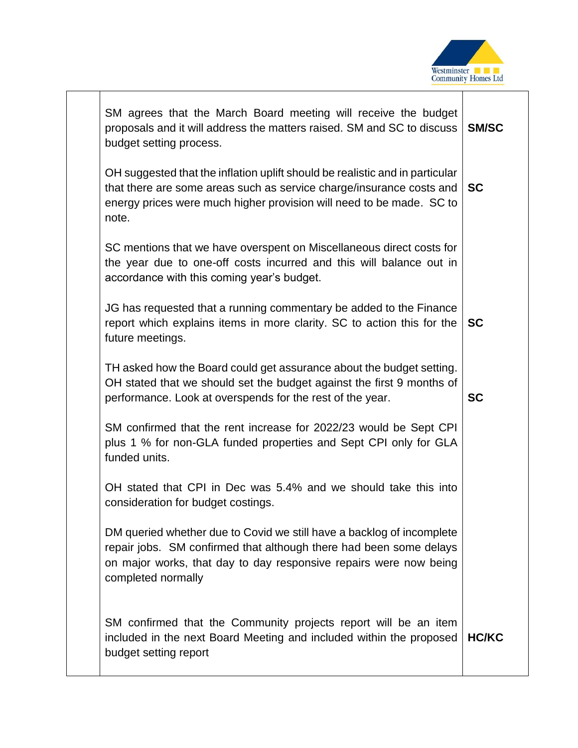

| SM agrees that the March Board meeting will receive the budget<br>proposals and it will address the matters raised. SM and SC to discuss<br>budget setting process.                                                                    | <b>SM/SC</b> |
|----------------------------------------------------------------------------------------------------------------------------------------------------------------------------------------------------------------------------------------|--------------|
| OH suggested that the inflation uplift should be realistic and in particular<br>that there are some areas such as service charge/insurance costs and<br>energy prices were much higher provision will need to be made. SC to<br>note.  | <b>SC</b>    |
| SC mentions that we have overspent on Miscellaneous direct costs for<br>the year due to one-off costs incurred and this will balance out in<br>accordance with this coming year's budget.                                              |              |
| JG has requested that a running commentary be added to the Finance<br>report which explains items in more clarity. SC to action this for the<br>future meetings.                                                                       | <b>SC</b>    |
| TH asked how the Board could get assurance about the budget setting.<br>OH stated that we should set the budget against the first 9 months of<br>performance. Look at overspends for the rest of the year.                             | <b>SC</b>    |
| SM confirmed that the rent increase for 2022/23 would be Sept CPI<br>plus 1 % for non-GLA funded properties and Sept CPI only for GLA<br>funded units.                                                                                 |              |
| OH stated that CPI in Dec was 5.4% and we should take this into<br>consideration for budget costings.                                                                                                                                  |              |
| DM queried whether due to Covid we still have a backlog of incomplete<br>repair jobs. SM confirmed that although there had been some delays<br>on major works, that day to day responsive repairs were now being<br>completed normally |              |
| SM confirmed that the Community projects report will be an item<br>included in the next Board Meeting and included within the proposed<br>budget setting report                                                                        | <b>HC/KC</b> |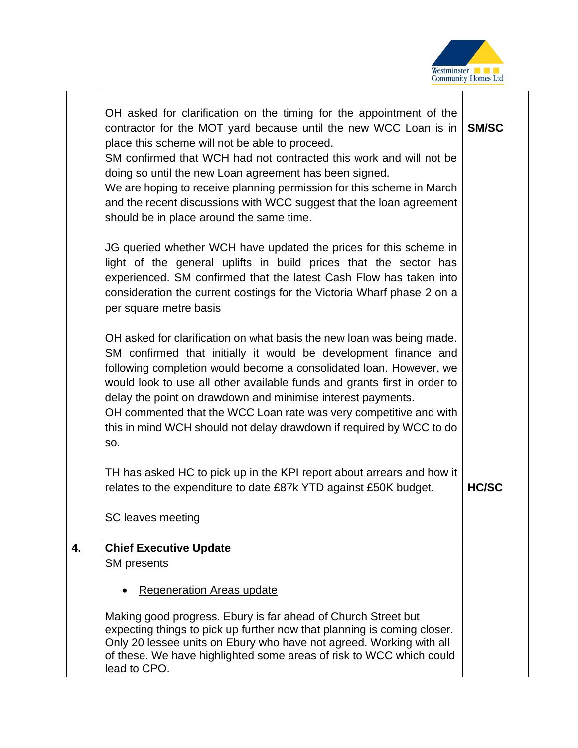

┱

|    | OH asked for clarification on the timing for the appointment of the<br>contractor for the MOT yard because until the new WCC Loan is in<br>place this scheme will not be able to proceed.<br>SM confirmed that WCH had not contracted this work and will not be<br>doing so until the new Loan agreement has been signed.<br>We are hoping to receive planning permission for this scheme in March<br>and the recent discussions with WCC suggest that the loan agreement<br>should be in place around the same time.<br>JG queried whether WCH have updated the prices for this scheme in<br>light of the general uplifts in build prices that the sector has<br>experienced. SM confirmed that the latest Cash Flow has taken into<br>consideration the current costings for the Victoria Wharf phase 2 on a<br>per square metre basis<br>OH asked for clarification on what basis the new loan was being made.<br>SM confirmed that initially it would be development finance and<br>following completion would become a consolidated loan. However, we<br>would look to use all other available funds and grants first in order to<br>delay the point on drawdown and minimise interest payments.<br>OH commented that the WCC Loan rate was very competitive and with<br>this in mind WCH should not delay drawdown if required by WCC to do<br>SO. | <b>SM/SC</b> |
|----|----------------------------------------------------------------------------------------------------------------------------------------------------------------------------------------------------------------------------------------------------------------------------------------------------------------------------------------------------------------------------------------------------------------------------------------------------------------------------------------------------------------------------------------------------------------------------------------------------------------------------------------------------------------------------------------------------------------------------------------------------------------------------------------------------------------------------------------------------------------------------------------------------------------------------------------------------------------------------------------------------------------------------------------------------------------------------------------------------------------------------------------------------------------------------------------------------------------------------------------------------------------------------------------------------------------------------------------------------------|--------------|
|    | TH has asked HC to pick up in the KPI report about arrears and how it<br>relates to the expenditure to date £87k YTD against £50K budget.<br>SC leaves meeting                                                                                                                                                                                                                                                                                                                                                                                                                                                                                                                                                                                                                                                                                                                                                                                                                                                                                                                                                                                                                                                                                                                                                                                           | <b>HC/SC</b> |
| 4. | <b>Chief Executive Update</b>                                                                                                                                                                                                                                                                                                                                                                                                                                                                                                                                                                                                                                                                                                                                                                                                                                                                                                                                                                                                                                                                                                                                                                                                                                                                                                                            |              |
|    | <b>SM</b> presents                                                                                                                                                                                                                                                                                                                                                                                                                                                                                                                                                                                                                                                                                                                                                                                                                                                                                                                                                                                                                                                                                                                                                                                                                                                                                                                                       |              |
|    | <b>Regeneration Areas update</b><br>Making good progress. Ebury is far ahead of Church Street but<br>expecting things to pick up further now that planning is coming closer.<br>Only 20 lessee units on Ebury who have not agreed. Working with all<br>of these. We have highlighted some areas of risk to WCC which could<br>lead to CPO.                                                                                                                                                                                                                                                                                                                                                                                                                                                                                                                                                                                                                                                                                                                                                                                                                                                                                                                                                                                                               |              |

┱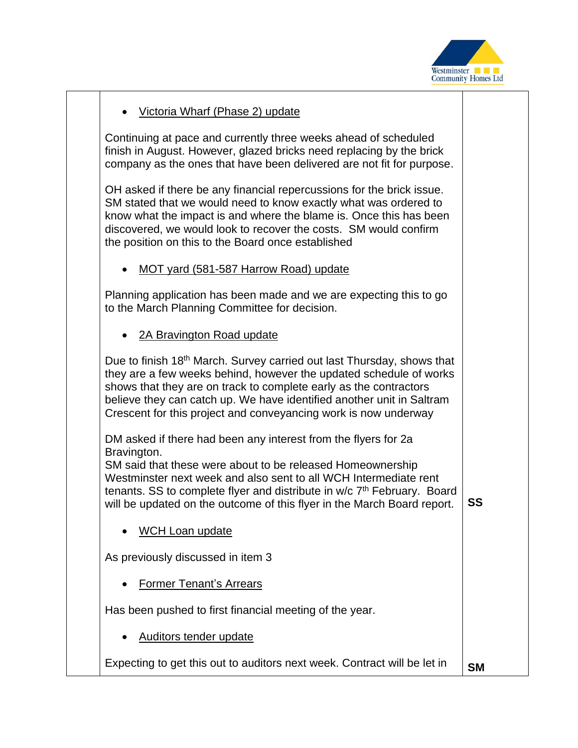

## • Victoria Wharf (Phase 2) update

Continuing at pace and currently three weeks ahead of scheduled finish in August. However, glazed bricks need replacing by the brick company as the ones that have been delivered are not fit for purpose.

OH asked if there be any financial repercussions for the brick issue. SM stated that we would need to know exactly what was ordered to know what the impact is and where the blame is. Once this has been discovered, we would look to recover the costs. SM would confirm the position on this to the Board once established

• MOT yard (581-587 Harrow Road) update

Planning application has been made and we are expecting this to go to the March Planning Committee for decision.

• 2A Bravington Road update

Due to finish 18<sup>th</sup> March. Survey carried out last Thursday, shows that they are a few weeks behind, however the updated schedule of works shows that they are on track to complete early as the contractors believe they can catch up. We have identified another unit in Saltram Crescent for this project and conveyancing work is now underway

DM asked if there had been any interest from the flyers for 2a Bravington.

SM said that these were about to be released Homeownership Westminster next week and also sent to all WCH Intermediate rent tenants. SS to complete flyer and distribute in w/c 7<sup>th</sup> February. Board will be updated on the outcome of this flyer in the March Board report. **SS**

WCH Loan update

As previously discussed in item 3

• Former Tenant's Arrears

Has been pushed to first financial meeting of the year.

• Auditors tender update

Expecting to get this out to auditors next week. Contract will be let in **SM**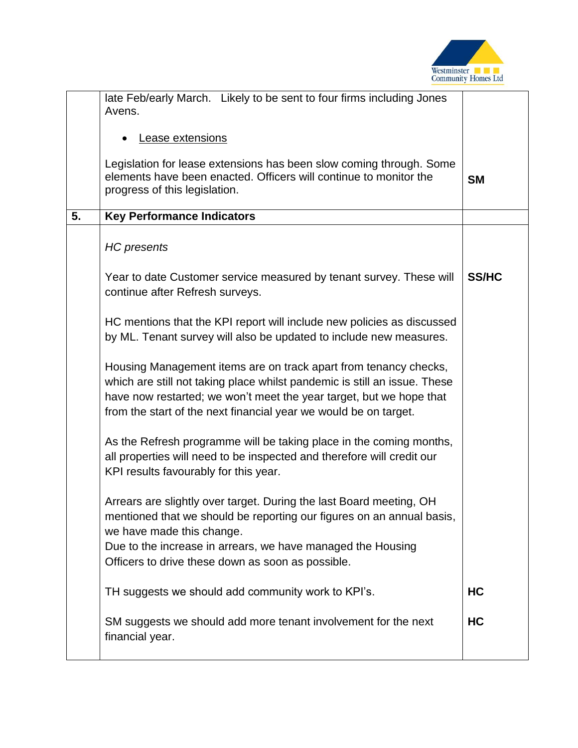

|    | late Feb/early March. Likely to be sent to four firms including Jones<br>Avens.                                                                                                                                                                                                               |              |
|----|-----------------------------------------------------------------------------------------------------------------------------------------------------------------------------------------------------------------------------------------------------------------------------------------------|--------------|
|    | Lease extensions                                                                                                                                                                                                                                                                              |              |
|    | Legislation for lease extensions has been slow coming through. Some<br>elements have been enacted. Officers will continue to monitor the<br>progress of this legislation.                                                                                                                     | <b>SM</b>    |
| 5. | <b>Key Performance Indicators</b>                                                                                                                                                                                                                                                             |              |
|    | <b>HC</b> presents                                                                                                                                                                                                                                                                            |              |
|    | Year to date Customer service measured by tenant survey. These will<br>continue after Refresh surveys.                                                                                                                                                                                        | <b>SS/HC</b> |
|    | HC mentions that the KPI report will include new policies as discussed<br>by ML. Tenant survey will also be updated to include new measures.                                                                                                                                                  |              |
|    | Housing Management items are on track apart from tenancy checks,<br>which are still not taking place whilst pandemic is still an issue. These<br>have now restarted; we won't meet the year target, but we hope that<br>from the start of the next financial year we would be on target.      |              |
|    | As the Refresh programme will be taking place in the coming months,<br>all properties will need to be inspected and therefore will credit our<br>KPI results favourably for this year.                                                                                                        |              |
|    | Arrears are slightly over target. During the last Board meeting, OH<br>mentioned that we should be reporting our figures on an annual basis,<br>we have made this change.<br>Due to the increase in arrears, we have managed the Housing<br>Officers to drive these down as soon as possible. |              |
|    | TH suggests we should add community work to KPI's.                                                                                                                                                                                                                                            | HC           |
|    | SM suggests we should add more tenant involvement for the next<br>financial year.                                                                                                                                                                                                             | HC           |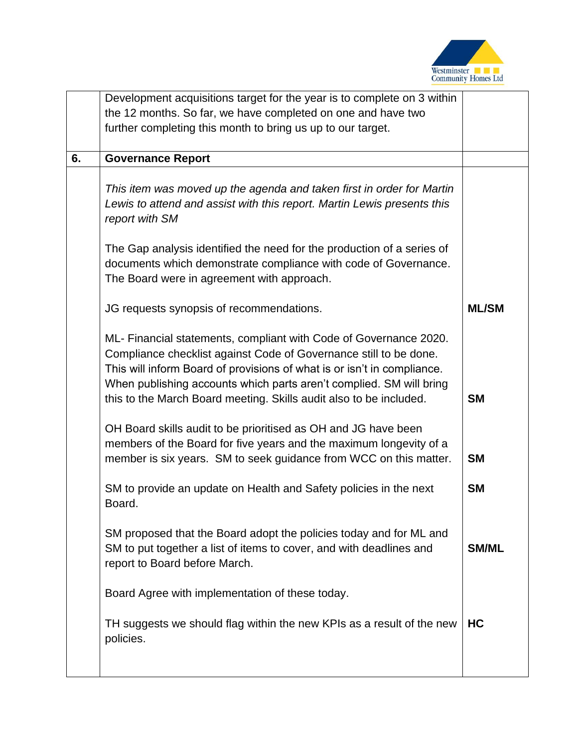

|    | Development acquisitions target for the year is to complete on 3 within |              |
|----|-------------------------------------------------------------------------|--------------|
|    | the 12 months. So far, we have completed on one and have two            |              |
|    | further completing this month to bring us up to our target.             |              |
|    |                                                                         |              |
| 6. | <b>Governance Report</b>                                                |              |
|    |                                                                         |              |
|    | This item was moved up the agenda and taken first in order for Martin   |              |
|    | Lewis to attend and assist with this report. Martin Lewis presents this |              |
|    | report with SM                                                          |              |
|    |                                                                         |              |
|    | The Gap analysis identified the need for the production of a series of  |              |
|    | documents which demonstrate compliance with code of Governance.         |              |
|    | The Board were in agreement with approach.                              |              |
|    |                                                                         |              |
|    | JG requests synopsis of recommendations.                                | <b>ML/SM</b> |
|    |                                                                         |              |
|    | ML- Financial statements, compliant with Code of Governance 2020.       |              |
|    | Compliance checklist against Code of Governance still to be done.       |              |
|    | This will inform Board of provisions of what is or isn't in compliance. |              |
|    | When publishing accounts which parts aren't complied. SM will bring     |              |
|    | this to the March Board meeting. Skills audit also to be included.      | <b>SM</b>    |
|    |                                                                         |              |
|    | OH Board skills audit to be prioritised as OH and JG have been          |              |
|    | members of the Board for five years and the maximum longevity of a      |              |
|    | member is six years. SM to seek guidance from WCC on this matter.       | <b>SM</b>    |
|    |                                                                         |              |
|    | SM to provide an update on Health and Safety policies in the next       | <b>SM</b>    |
|    | Board.                                                                  |              |
|    |                                                                         |              |
|    | SM proposed that the Board adopt the policies today and for ML and      |              |
|    | SM to put together a list of items to cover, and with deadlines and     | <b>SM/ML</b> |
|    | report to Board before March.                                           |              |
|    |                                                                         |              |
|    | Board Agree with implementation of these today.                         |              |
|    |                                                                         |              |
|    | TH suggests we should flag within the new KPIs as a result of the new   | HC           |
|    | policies.                                                               |              |
|    |                                                                         |              |
|    |                                                                         |              |